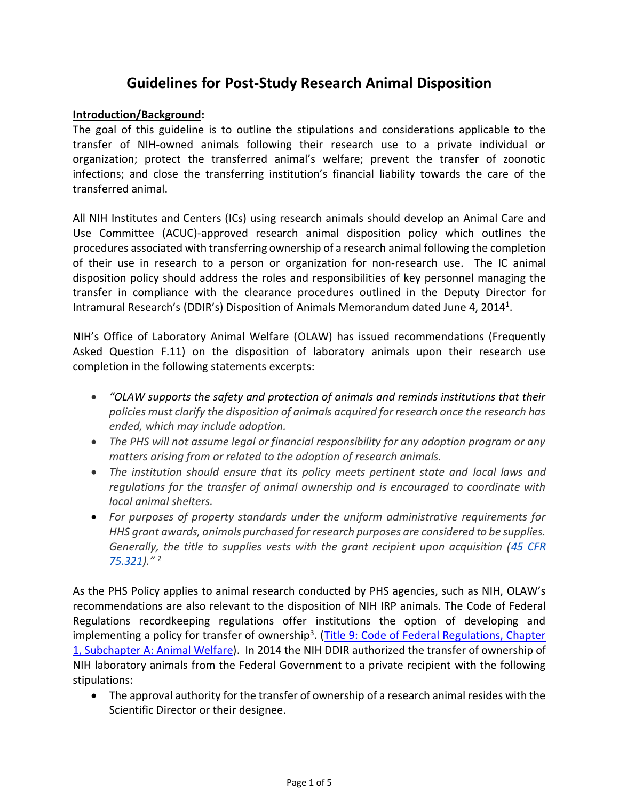# **Guidelines for Post-Study Research Animal Disposition**

## **Introduction/Background:**

The goal of this guideline is to outline the stipulations and considerations applicable to the transfer of NIH-owned animals following their research use to a private individual or organization; protect the transferred animal's welfare; prevent the transfer of zoonotic infections; and close the transferring institution's financial liability towards the care of the transferred animal.

All NIH Institutes and Centers (ICs) using research animals should develop an Animal Care and Use Committee (ACUC)-approved research animal disposition policy which outlines the procedures associated with transferring ownership of a research animal following the completion of their use in research to a person or organization for non-research use. The IC animal disposition policy should address the roles and responsibilities of key personnel managing the transfer in compliance with the clearance procedures outlined in the Deputy Director for Intramural Research's (DDIR's) Disposition of Animals Memorandum dated June 4, 2014<sup>1</sup>.

NIH's Office of Laboratory Animal Welfare (OLAW) has issued recommendations (Frequently Asked Question F.11) on the disposition of laboratory animals upon their research use completion in the following statements excerpts:

- *"OLAW supports the safety and protection of animals and reminds institutions that their policies must clarify the disposition of animals acquired for research once the research has ended, which may include adoption.*
- *The PHS will not assume legal or financial responsibility for any adoption program or any matters arising from or related to the adoption of research animals.*
- *The institution should ensure that its policy meets pertinent state and local laws and regulations for the transfer of animal ownership and is encouraged to coordinate with local animal shelters.*
- *For purposes of property standards under the uniform administrative requirements for HHS grant awards, animals purchased for research purposes are considered to be supplies. Generally, the title to supplies vests with the grant recipient upon acquisition (45 CFR 75.321)."* 2

As the PHS Policy applies to animal research conducted by PHS agencies, such as NIH, OLAW's recommendations are also relevant to the disposition of NIH IRP animals. The Code of Federal Regulations recordkeeping regulations offer institutions the option of developing and implementing a policy for transfer of ownership<sup>3</sup>. (Title 9: Code of Federal Regulations, Chapter [1, Subchapter A: Animal Welfare\)](http://www.ecfr.gov/cgi-bin/text-idx?SID=891e14e1125910a4ff614b3997fbfbda&c=ecfr&tpl=/ecfrbrowse/Title09/9cfrv1_02.tpl). In 2014 the NIH DDIR authorized the transfer of ownership of NIH laboratory animals from the Federal Government to a private recipient with the following stipulations:

• The approval authority for the transfer of ownership of a research animal resides with the Scientific Director or their designee.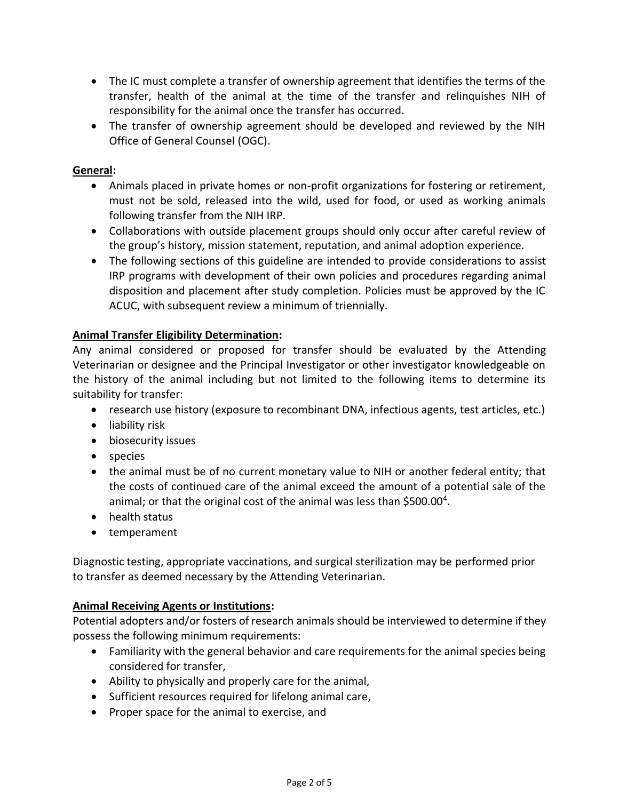- The IC must complete a transfer of ownership agreement that identifies the terms of the transfer, health of the animal at the time of the transfer and relinquishes NIH of responsibility for the animal once the transfer has occurred.
- The transfer of ownership agreement should be developed and reviewed by the NIH Office of General Counsel (OGC).

# **General:**

- Animals placed in private homes or non-profit organizations for fostering or retirement, must not be sold, released into the wild, used for food, or used as working animals following transfer from the NIH IRP.
- Collaborations with outside placement groups should only occur after careful review of the group's history, mission statement, reputation, and animal adoption experience.
- The following sections of this guideline are intended to provide considerations to assist IRP programs with development of their own policies and procedures regarding animal disposition and placement after study completion. Policies must be approved by the IC ACUC, with subsequent review a minimum of triennially.

## **Animal Transfer Eligibility Determination:**

Any animal considered or proposed for transfer should be evaluated by the Attending Veterinarian or designee and the Principal Investigator or other investigator knowledgeable on the history of the animal including but not limited to the following items to determine its suitability for transfer:

- research use history (exposure to recombinant DNA, infectious agents, test articles, etc.)
- liability risk
- biosecurity issues
- species
- the animal must be of no current monetary value to NIH or another federal entity; that the costs of continued care of the animal exceed the amount of a potential sale of the animal; or that the original cost of the animal was less than \$500.00<sup>4</sup>.
- health status
- temperament

Diagnostic testing, appropriate vaccinations, and surgical sterilization may be performed prior to transfer as deemed necessary by the Attending Veterinarian.

## **Animal Receiving Agents or Institutions:**

Potential adopters and/or fosters of research animals should be interviewed to determine if they possess the following minimum requirements:

- Familiarity with the general behavior and care requirements for the animal species being considered for transfer,
- Ability to physically and properly care for the animal,
- Sufficient resources required for lifelong animal care,
- Proper space for the animal to exercise, and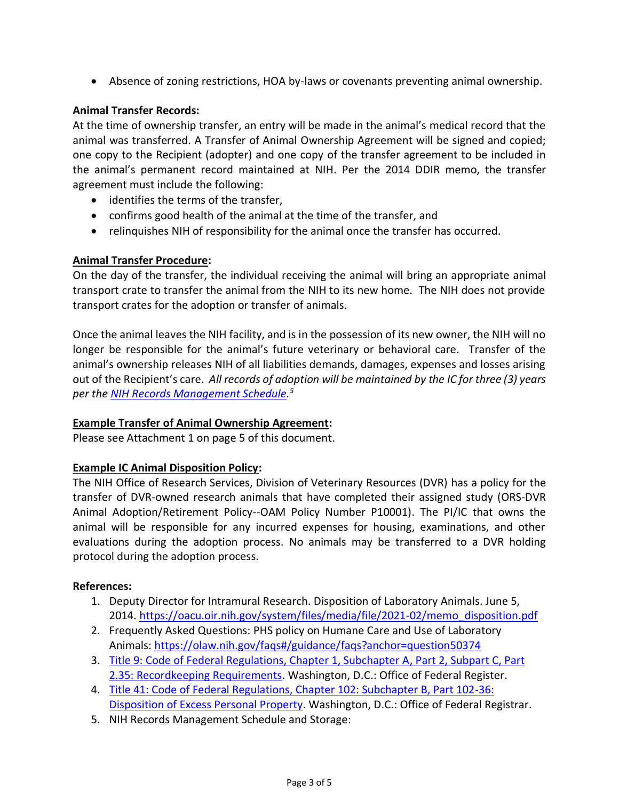• Absence of zoning restrictions, HOA by-laws or covenants preventing animal ownership.

# **Animal Transfer Records:**

At the time of ownership transfer, an entry will be made in the animal's medical record that the animal was transferred. A Transfer of Animal Ownership Agreement will be signed and copied; one copy to the Recipient (adopter) and one copy of the transfer agreement to be included in the animal's permanent record maintained at NIH. Per the 2014 DDIR memo, the transfer agreement must include the following:

- identifies the terms of the transfer,
- confirms good health of the animal at the time of the transfer, and
- relinquishes NIH of responsibility for the animal once the transfer has occurred.

# **Animal Transfer Procedure:**

On the day of the transfer, the individual receiving the animal will bring an appropriate animal transport crate to transfer the animal from the NIH to its new home. The NIH does not provide transport crates for the adoption or transfer of animals.

Once the animal leaves the NIH facility, and is in the possession of its new owner, the NIH will no longer be responsible for the animal's future veterinary or behavioral care. Transfer of the animal's ownership releases NIH of all liabilities demands, damages, expenses and losses arising out of the Recipient's care. *All records of adoption will be maintained by the IC for three (3) years per the [NIH Records Management Schedule.](https://oma.od.nih.gov/DMS/Pages/Records-Management-Schedule.aspx) 5*

## **Example Transfer of Animal Ownership Agreement:**

Please see Attachment 1 on page 5 of this document.

## **Example IC Animal Disposition Policy:**

The NIH Office of Research Services, Division of Veterinary Resources (DVR) has a policy for the transfer of DVR-owned research animals that have completed their assigned study (ORS-DVR Animal Adoption/Retirement Policy--OAM Policy Number P10001). The PI/IC that owns the animal will be responsible for any incurred expenses for housing, examinations, and other evaluations during the adoption process. No animals may be transferred to a DVR holding protocol during the adoption process.

## **References:**

- 1. Deputy Director for Intramural Research. Disposition of Laboratory Animals. June 5, 2014. [https://oacu.oir.nih.gov/system/files/media/file/2021-02/memo\\_disposition.pdf](https://oacu.oir.nih.gov/system/files/media/file/2021-02/memo_disposition.pdf)
- 2. Frequently Asked Questions: PHS policy on Humane Care and Use of Laboratory Animals:<https://olaw.nih.gov/faqs#/guidance/faqs?anchor=question50374>
- 3. [Title 9: Code of Federal Regulations, Chapter 1, Subchapter A, Part 2, Subpart C, Part](https://www.ecfr.gov/current/title-9/chapter-I/subchapter-A/part-2/subpart-C/section-2.35)  [2.35: Recordkeeping Requirements.](https://www.ecfr.gov/current/title-9/chapter-I/subchapter-A/part-2/subpart-C/section-2.35) Washington, D.C.: Office of Federal Register.
- 4. [Title 41: Code of Federal Regulations, Chapter 102: Subchapter B, Part 102-36:](https://www.govinfo.gov/app/details/CFR-2001-title41-vol3/CFR-2001-title41-vol3-sec102-36-220/summary)  [Disposition of Excess Personal Property.](https://www.govinfo.gov/app/details/CFR-2001-title41-vol3/CFR-2001-title41-vol3-sec102-36-220/summary) Washington, D.C.: Office of Federal Registrar.
- 5. NIH Records Management Schedule and Storage: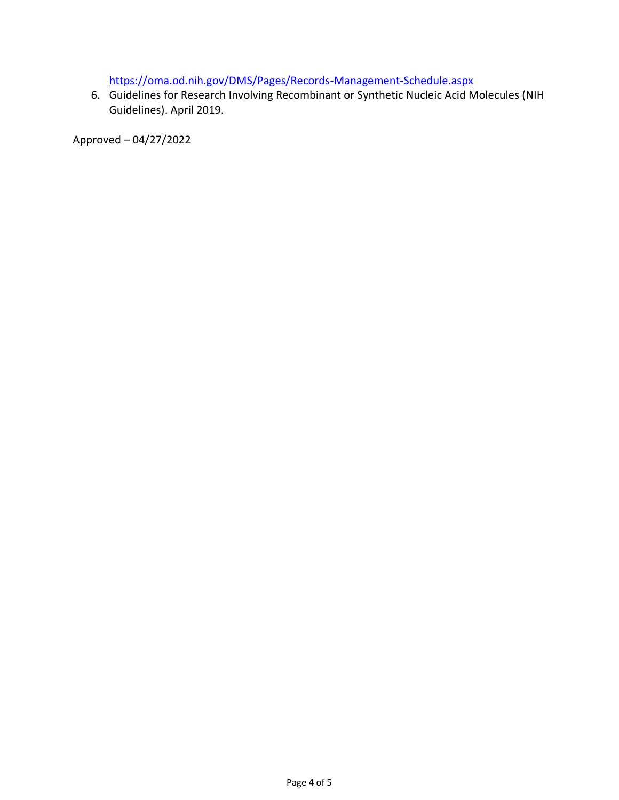<https://oma.od.nih.gov/DMS/Pages/Records-Management-Schedule.aspx>

6. Guidelines for Research Involving Recombinant or Synthetic Nucleic Acid Molecules (NIH Guidelines). April 2019.

Approved – 04/27/2022